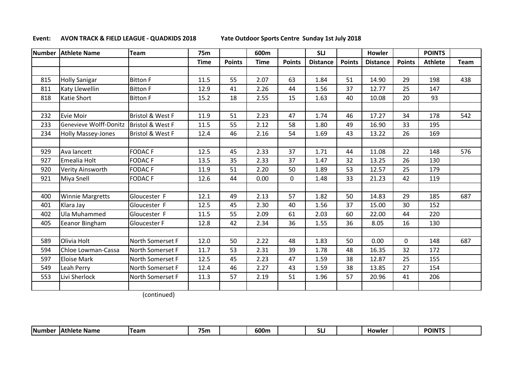## **Event: AVON TRACK & FIELD LEAGUE - QUADKIDS 2018 Yate Outdoor Sports Centre Sunday 1st July 2018**

|     | Number   Athlete Name     | <b>Team</b>                 | 75m         |               | 600m        |               | <b>SLJ</b>      |               | <b>Howler</b>   |               | <b>POINTS</b>  |      |
|-----|---------------------------|-----------------------------|-------------|---------------|-------------|---------------|-----------------|---------------|-----------------|---------------|----------------|------|
|     |                           |                             | <b>Time</b> | <b>Points</b> | <b>Time</b> | <b>Points</b> | <b>Distance</b> | <b>Points</b> | <b>Distance</b> | <b>Points</b> | <b>Athlete</b> | Team |
|     |                           |                             |             |               |             |               |                 |               |                 |               |                |      |
| 815 | <b>Holly Sanigar</b>      | <b>Bitton F</b>             | 11.5        | 55            | 2.07        | 63            | 1.84            | 51            | 14.90           | 29            | 198            | 438  |
| 811 | <b>Katy Llewellin</b>     | <b>Bitton F</b>             | 12.9        | 41            | 2.26        | 44            | 1.56            | 37            | 12.77           | 25            | 147            |      |
| 818 | <b>Katie Short</b>        | <b>Bitton F</b>             | 15.2        | 18            | 2.55        | 15            | 1.63            | 40            | 10.08           | 20            | 93             |      |
|     |                           |                             |             |               |             |               |                 |               |                 |               |                |      |
| 232 | Evie Moir                 | <b>Bristol &amp; West F</b> | 11.9        | 51            | 2.23        | 47            | 1.74            | 46            | 17.27           | 34            | 178            | 542  |
| 233 | Genevieve Wolff-Donitz    | Bristol & West F            | 11.5        | 55            | 2.12        | 58            | 1.80            | 49            | 16.90           | 33            | 195            |      |
| 234 | <b>Holly Massey-Jones</b> | <b>Bristol &amp; West F</b> | 12.4        | 46            | 2.16        | 54            | 1.69            | 43            | 13.22           | 26            | 169            |      |
|     |                           |                             |             |               |             |               |                 |               |                 |               |                |      |
| 929 | Ava lancett               | <b>FODACF</b>               | 12.5        | 45            | 2.33        | 37            | 1.71            | 44            | 11.08           | 22            | 148            | 576  |
| 927 | Emealia Holt              | <b>FODACF</b>               | 13.5        | 35            | 2.33        | 37            | 1.47            | 32            | 13.25           | 26            | 130            |      |
| 920 | Verity Ainsworth          | <b>FODACF</b>               | 11.9        | 51            | 2.20        | 50            | 1.89            | 53            | 12.57           | 25            | 179            |      |
| 921 | Miya Snell                | <b>FODACF</b>               | 12.6        | 44            | 0.00        | $\mathbf{0}$  | 1.48            | 33            | 21.23           | 42            | 119            |      |
|     |                           |                             |             |               |             |               |                 |               |                 |               |                |      |
| 400 | <b>Winnie Margretts</b>   | Gloucester F                | 12.1        | 49            | 2.13        | 57            | 1.82            | 50            | 14.83           | 29            | 185            | 687  |
| 401 | Klara Jay                 | Gloucester F                | 12.5        | 45            | 2.30        | 40            | 1.56            | 37            | 15.00           | 30            | 152            |      |
| 402 | Ula Muhammed              | Gloucester F                | 11.5        | 55            | 2.09        | 61            | 2.03            | 60            | 22.00           | 44            | 220            |      |
| 405 | Eeanor Bingham            | Gloucester F                | 12.8        | 42            | 2.34        | 36            | 1.55            | 36            | 8.05            | 16            | 130            |      |
|     |                           |                             |             |               |             |               |                 |               |                 |               |                |      |
| 589 | Olivia Holt               | North Somerset F            | 12.0        | 50            | 2.22        | 48            | 1.83            | 50            | 0.00            | $\Omega$      | 148            | 687  |
| 594 | Chloe Lowman-Cassa        | North Somerset F            | 11.7        | 53            | 2.31        | 39            | 1.78            | 48            | 16.35           | 32            | 172            |      |
| 597 | <b>Eloise Mark</b>        | North Somerset F            | 12.5        | 45            | 2.23        | 47            | 1.59            | 38            | 12.87           | 25            | 155            |      |
| 549 | Leah Perry                | North Somerset F            | 12.4        | 46            | 2.27        | 43            | 1.59            | 38            | 13.85           | 27            | 154            |      |
| 553 | Livi Sherlock             | North Somerset F            | 11.3        | 57            | 2.19        | 51            | 1.96            | 57            | 20.96           | 41            | 206            |      |
|     |                           |                             |             |               |             |               |                 |               |                 |               |                |      |

(continued)

| <b>75n.</b><br><b>POINT</b><br><b>Number</b><br>600m<br>Team<br>e Name י<br>Howler<br><b>IAthlete</b><br>. |  |
|------------------------------------------------------------------------------------------------------------|--|
|------------------------------------------------------------------------------------------------------------|--|